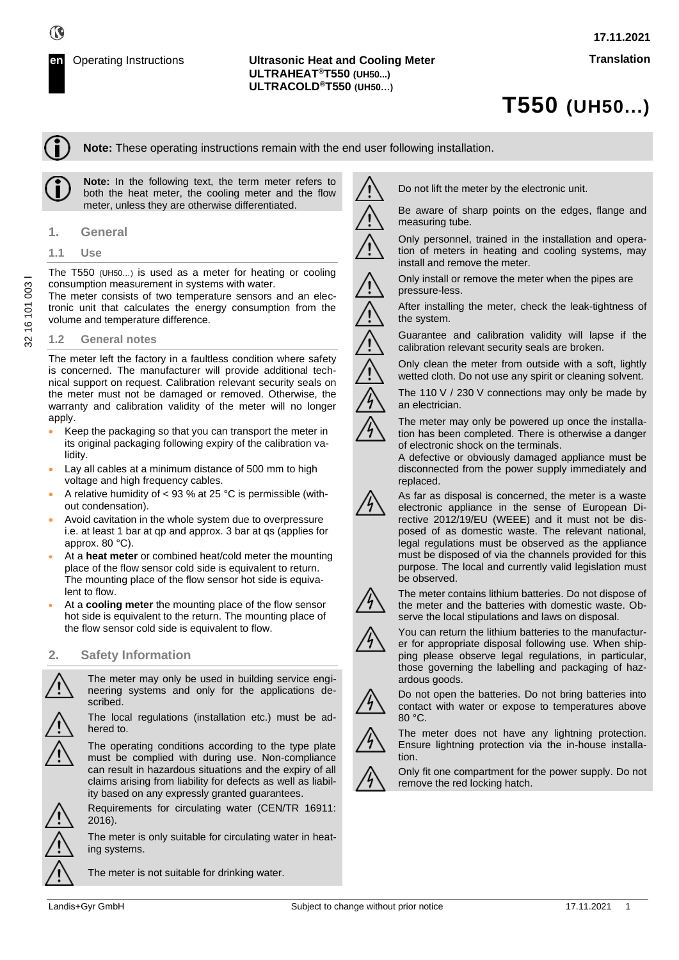# **T550 (UH50...)**

**Note:** These operating instructions remain with the end user following installation.

**Note:** In the following text, the term meter refers to both the heat meter, the cooling meter and the flow meter, unless they are otherwise differentiated.

- **1. General**
- **1.1 Use**

The T550 (UH50…) is used as a meter for heating or cooling consumption measurement in systems with water.

The meter consists of two temperature sensors and an electronic unit that calculates the energy consumption from the volume and temperature difference.

#### **1.2 General notes**

The meter left the factory in a faultless condition where safety is concerned. The manufacturer will provide additional technical support on request. Calibration relevant security seals on the meter must not be damaged or removed. Otherwise, the warranty and calibration validity of the meter will no longer apply.

- Keep the packaging so that you can transport the meter in its original packaging following expiry of the calibration validity.
- Lay all cables at a minimum distance of 500 mm to high voltage and high frequency cables.
- A relative humidity of < 93 % at 25 °C is permissible (without condensation).
- Avoid cavitation in the whole system due to overpressure i.e. at least 1 bar at qp and approx. 3 bar at qs (applies for approx. 80 °C).
- At a **heat meter** or combined heat/cold meter the mounting place of the flow sensor cold side is equivalent to return. The mounting place of the flow sensor hot side is equivalent to flow.
- At a **cooling meter** the mounting place of the flow sensor hot side is equivalent to the return. The mounting place of the flow sensor cold side is equivalent to flow.

#### **2. Safety Information**

The meter may only be used in building service engineering systems and only for the applications described.

The local regulations (installation etc.) must be adhered to.

The operating conditions according to the type plate must be complied with during use. Non-compliance can result in hazardous situations and the expiry of all claims arising from liability for defects as well as liability based on any expressly granted guarantees.

Requirements for circulating water (CEN/TR 16911: 2016).

The meter is only suitable for circulating water in heating systems.

The meter is not suitable for drinking water.

Do not lift the meter by the electronic unit.

Be aware of sharp points on the edges, flange and measuring tube.

Only personnel, trained in the installation and operation of meters in heating and cooling systems, may install and remove the meter.

Only install or remove the meter when the pipes are pressure-less.

After installing the meter, check the leak-tightness of the system.

Guarantee and calibration validity will lapse if the calibration relevant security seals are broken.

Only clean the meter from outside with a soft, lightly wetted cloth. Do not use any spirit or cleaning solvent.

The 110 V / 230 V connections may only be made by

an electrician. The meter may only be powered up once the installation has been completed. There is otherwise a danger

of electronic shock on the terminals. A defective or obviously damaged appliance must be disconnected from the power supply immediately and

replaced. As far as disposal is concerned, the meter is a waste electronic appliance in the sense of European Directive 2012/19/EU (WEEE) and it must not be disposed of as domestic waste. The relevant national, legal regulations must be observed as the appliance must be disposed of via the channels provided for this



be observed.

The meter contains lithium batteries. Do not dispose of the meter and the batteries with domestic waste. Observe the local stipulations and laws on disposal.

purpose. The local and currently valid legislation must

You can return the lithium batteries to the manufacturer for appropriate disposal following use. When shipping please observe legal regulations, in particular, those governing the labelling and packaging of hazardous goods.



Do not open the batteries. Do not bring batteries into contact with water or expose to temperatures above 80 °C.



The meter does not have any lightning protection. Ensure lightning protection via the in-house installation.



Only fit one compartment for the power supply. Do not remove the red locking hatch.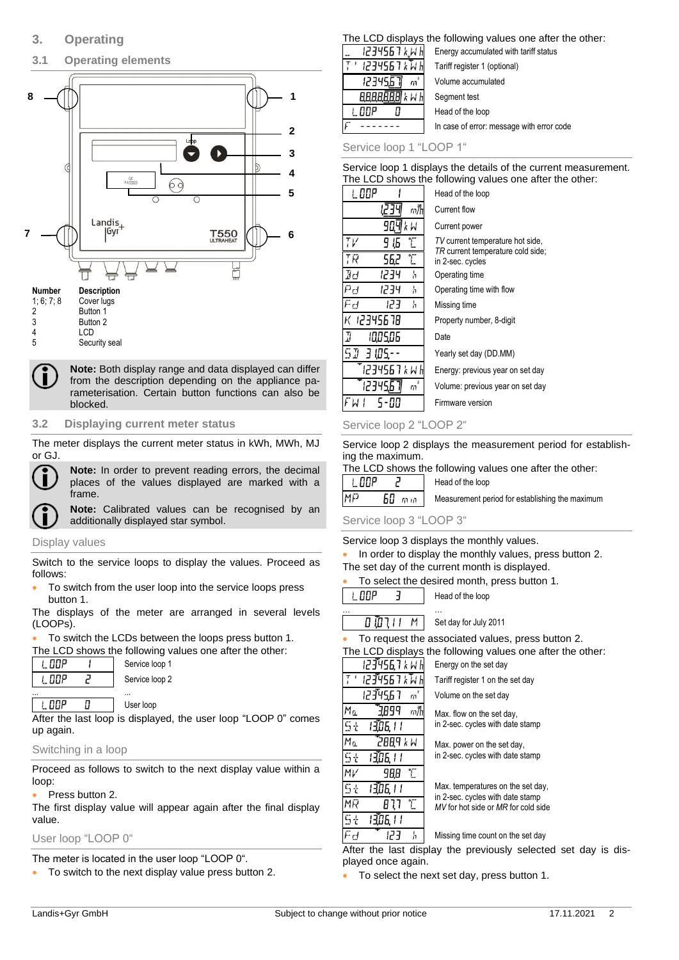## **3.1 Operating elements**



#### **Number Description** 1; 6; 7; 8 Cover lugs

| <b>1. V. 7. 0</b> | <b>CUVEL IU</b> |
|-------------------|-----------------|
| 2                 | Button 1        |
| 3                 | Button 2        |
| 4                 | LCD             |
|                   |                 |

5 Security seal

**Note:** Both display range and data displayed can differ from the description depending on the appliance parameterisation. Certain button functions can also be blocked.

#### **3.2 Displaying current meter status**

The meter displays the current meter status in kWh, MWh, MJ or GJ.



**Note:** In order to prevent reading errors, the decimal places of the values displayed are marked with a frame.

**Note:** Calibrated values can be recognised by an additionally displayed star symbol.

#### Display values

Switch to the service loops to display the values. Proceed as follows:

• To switch from the user loop into the service loops press button 1.

The displays of the meter are arranged in several levels (LOOPs).

To switch the LCDs between the loops press button 1.

The LCD shows the following values one after the other:

| ּ חַחְחִ | Service loop 1 |
|----------|----------------|
| - פחון י | Service loop 2 |
|          |                |

#### 0 User loop

After the last loop is displayed, the user loop "LOOP 0" comes up again.

#### Switching in a loop

L OOP

Proceed as follows to switch to the next display value within a loop:

#### • Press button 2.

The first display value will appear again after the final display value.

## User loop "LOOP 0"

The meter is located in the user loop "LOOP 0".

• To switch to the next display value press button 2.

### The LCD displays the following values one after the other:

| 1234567 kWh<br>Energy accumulated with tariff status |
|------------------------------------------------------|
| 1234567 k W h<br>Tariff register 1 (optional)        |
| Volume accumulated                                   |
| $k$ $k$ $h$<br>Segment test                          |
| Head of the loop                                     |
| In case of error: message with error code            |
|                                                      |

Service loop 1 "LOOP 1"

Service loop 1 displays the details of the current measurement. The LCD shows the following values one after the other:

| I OOP                                     | Head of the loop                                      |
|-------------------------------------------|-------------------------------------------------------|
| m/h                                       | Current flow                                          |
| 90.<br>k W                                | Current power                                         |
| $\mathsf{r}_{\mathsf{V}}$<br>T<br>۱Б<br>ч | TV current temperature hot side,                      |
| T.<br>ГR<br>56,2                          | TR current temperature cold side;<br>in 2-sec. cycles |
| 9d<br>1234<br>'n                          | Operating time                                        |
| ائ<br>1234<br>'n                          | Operating time with flow                              |
| ر<br>ان<br>ב-גו<br>'n                     | Missing time                                          |
| ( 12345678                                | Property number, 8-digit                              |
| 7<br>10,05,06                             | Date                                                  |
| $\overline{\mathbf{u}}$<br>3 105.         | Yearly set day (DD.MM)                                |
| 1234567 k W h                             | Energy: previous year on set day                      |
| m                                         | Volume: previous year on set day                      |
|                                           | Firmware version                                      |

#### Service loop 2 "LOOP 2"

Service loop 2 displays the measurement period for establishing the maximum.

The LCD shows the following values one after the other:<br> $\begin{array}{|c|c|c|c|c|}\n\hline\n\text{I} & \text{I} \Pi \text{I} \text{P} & \text{P} & \text{Head of the loop}\n\end{array}$  $\overline{J}$ Head of the loop

|     |              | <b>INGU OF THE TOOD</b>                         |
|-----|--------------|-------------------------------------------------|
| MFJ | <b>60 mm</b> | Measurement period for establishing the maximum |
|     |              |                                                 |

#### Service loop 3 "LOOP 3"

Service loop 3 displays the monthly values.

• In order to display the monthly values, press button 2. The set day of the current month is displayed.

|  |  | To select the desired month, press button 1. |  |  |  |
|--|--|----------------------------------------------|--|--|--|
|--|--|----------------------------------------------|--|--|--|

I DOP 3 Head of the loop

… … M 1110D Set day for July 2011

To request the associated values, press button 2.

The LCD displays the following values one after the other:

123456,7 k W l Energy on the set day 1234567 k W 1 Tariff register 1 on the set day 1234567 Volume on the set day  $\mathfrak{n}$ Мū 3899  $m$ // Max. flow on the set day, in 2-sec. cycles with date stamp 1306.11 5t Mα **N X PBBS** Max. power on the set day, in 2-sec. cycles with date stamp 5ł 1306.11  $M\nu$ 98.8 L 13,06,11 Max. temperatures on the set day, 5t in 2-sec. cycles with date stamp MF  $B<sub>1</sub>$ T *MV* for hot side or *MR* for cold side 1306.11 5t

> 'n Missing time count on the set day

After the last display the previously selected set day is displayed once again.

• To select the next set day, press button 1.

Fd

123

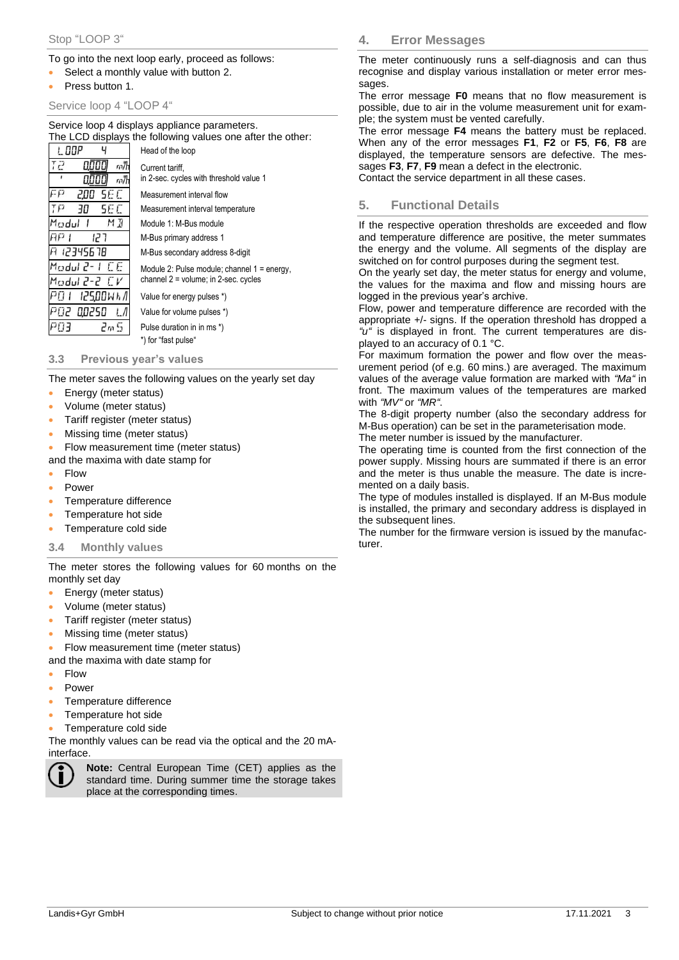#### To go into the next loop early, proceed as follows:

- Select a monthly value with button 2.
- Press button 1.

#### Service loop 4 "LOOP 4"

Service loop 4 displays appliance parameters. The LCD displays the following values one after the other:

|                     | $\overline{11}$ is LCD displays the following values one after the other. |
|---------------------|---------------------------------------------------------------------------|
|                     | Head of the loop                                                          |
| 72<br>m/h<br>m/h    | Current tariff,<br>in 2-sec. cycles with threshold value 1                |
| Ξp<br>5E C<br>200   | Measurement interval flow                                                 |
| ŢP<br>5E C<br>30    | Measurement interval temperature                                          |
| Madul<br>МĦ         | Module 1: M-Bus module                                                    |
| មស រ<br>ר קן        | M-Bus primary address 1                                                   |
| 9 12345678          | M-Bus secondary address 8-digit                                           |
| Madul 2-<br>FF.     | Module 2: Pulse module; channel $1 =$ energy,                             |
| Modul 2-2 <i>CV</i> | channel 2 = volume; in 2-sec. cycles                                      |
| 9A I<br>12500W h /l | Value for energy pulses *)                                                |
| -902<br>00250       | Value for volume pulses *)                                                |
| ∃ הם<br>2m S        | Pulse duration in in ms *)                                                |
|                     | *) for "fast pulse"                                                       |
|                     |                                                                           |

**3.3 Previous year's values**

The meter saves the following values on the yearly set day

- Energy (meter status)
- Volume (meter status)
- Tariff register (meter status)
- Missing time (meter status)
- Flow measurement time (meter status)
- and the maxima with date stamp for
- Flow
- Power
- Temperature difference
- Temperature hot side
- Temperature cold side

#### **3.4 Monthly values**

The meter stores the following values for 60 months on the monthly set day

- Energy (meter status)
- Volume (meter status)
- Tariff register (meter status)
- Missing time (meter status)
- Flow measurement time (meter status)
- and the maxima with date stamp for
- Flow
- Power
- Temperature difference
- Temperature hot side
- Temperature cold side

The monthly values can be read via the optical and the 20 mAinterface.



**Note:** Central European Time (CET) applies as the standard time. During summer time the storage takes place at the corresponding times.

**4. Error Messages**

The meter continuously runs a self-diagnosis and can thus recognise and display various installation or meter error messages.

The error message **F0** means that no flow measurement is possible, due to air in the volume measurement unit for example; the system must be vented carefully.

The error message **F4** means the battery must be replaced. When any of the error messages **F1**, **F2** or **F5**, **F6**, **F8** are displayed, the temperature sensors are defective. The messages **F3**, **F7**, **F9** mean a defect in the electronic.

Contact the service department in all these cases.

#### **5. Functional Details**

If the respective operation thresholds are exceeded and flow and temperature difference are positive, the meter summates the energy and the volume. All segments of the display are switched on for control purposes during the segment test.

On the yearly set day, the meter status for energy and volume, the values for the maxima and flow and missing hours are logged in the previous year's archive.

Flow, power and temperature difference are recorded with the appropriate +/- signs. If the operation threshold has dropped a *"u"* is displayed in front. The current temperatures are displayed to an accuracy of 0.1 °C.

For maximum formation the power and flow over the measurement period (of e.g. 60 mins.) are averaged. The maximum values of the average value formation are marked with *"Ma"* in front. The maximum values of the temperatures are marked with *"MV"* or *"MR"*.

The 8-digit property number (also the secondary address for M-Bus operation) can be set in the parameterisation mode.

The meter number is issued by the manufacturer.

The operating time is counted from the first connection of the power supply. Missing hours are summated if there is an error and the meter is thus unable the measure. The date is incremented on a daily basis.

The type of modules installed is displayed. If an M-Bus module is installed, the primary and secondary address is displayed in the subsequent lines.

The number for the firmware version is issued by the manufacturer.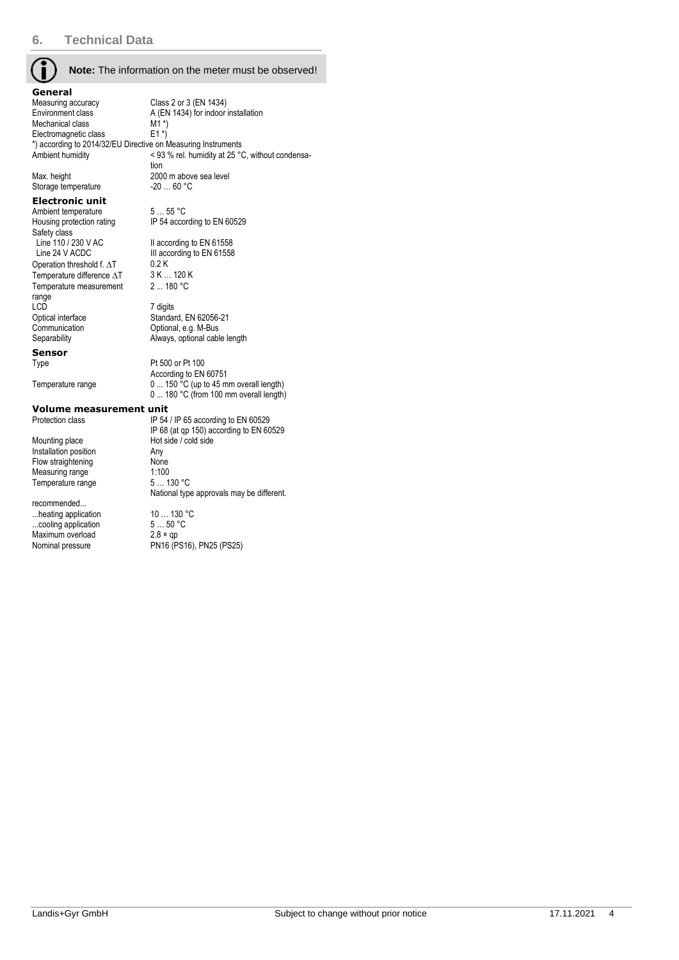**Note:** The information on the meter must be observed!

IP 54 according to EN 60529

III according to EN 61558<br> $0.2 K$ 

Always, optional cable length

According to EN 60751

**General**<br>Measuring accuracy Measuring accuracy Class 2 or 3 (EN 1434)<br>Environment class A (EN 1434) for indoor A (EN 1434) for indoor installation<br>M1  $*$ ) Mechanical class M1 \*)<br>Electromagnetic class E1 \*) Electromagnetic class \*) according to 2014/32/EU Directive on Measuring Instruments Ambient humidity < 93 % rel. humidity at 25 °C, without condensation Max. height 2000 m above sea level<br>Storage temperature 20 ... 60 °C Storage temperature

2 ... 180 °C

#### **Electronic unit**

Ambient temperature 5 ... 55 °C<br>Housing protection rating IP 54 accord Safety class<br>Line 110 / 230 V AC Line 110 / 230 V AC II according to EN 61558<br>
Line 24 V ACDC III according to EN 61558 Operation threshold f.  $\Delta T$  0.2 K<br>Temperature difference  $\Delta T$  3 K ... 120 K Temperature difference  $\Delta T$ Temperature measurement range<br>LCD LCD 7 digits<br>
Optical interface 7 Standar Optical interface Standard, EN 62056-21<br>
Communication Continues Optional, e.g. M-Bus Communication Communication Optional, e.g. M-Bus<br>
Separability Communication Communication Communication Communication Communication Communication Communicatio

**Sensor**

Type Pt 500 or Pt 100

Temperature range  $0 \dots 150$  °C (up to 45 mm overall length)

0 ... 180 °C (from 100 mm overall length)

**Volume measurement unit**<br>Protection class Protection class

Mounting place Hot side / cold side<br>Installation position Any Installation position and Any<br>
Flow straightening Mone Flow straightening None<br>Measuring range 1:100 Measuring range 1:100<br>Temperature range 5... 130 °C Temperature range

recommended... ...heating application 10 ... 130 °C<br>
...cooling application 5 ... 50 °C ...cooling application  $5...50$  °<br>Maximum overload  $2.8 \times qp$ Maximum overload<br>Nominal pressure

IP 54 / IP 65 according to EN 60529 IP 68 (at qp 150) according to EN 60529 National type approvals may be different.

PN16 (PS16), PN25 (PS25)